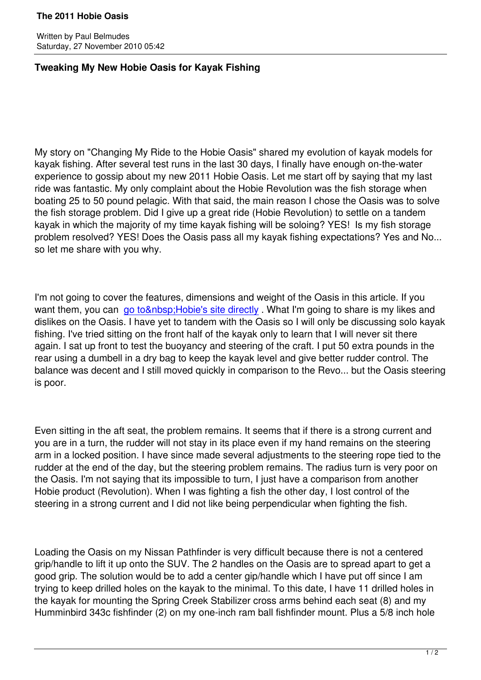Written by Paul Belmudes and Paul Belmudes and Paul Belmudes and Paul Belmudes and Paul Belmudes and Paul Belm

## **Tweaking My New Hobie Oasis for Kayak Fishing**

My story on "Changing My Ride to the Hobie Oasis" shared my evolution of kayak models for kayak fishing. After several test runs in the last 30 days, I finally have enough on-the-water experience to gossip about my new 2011 Hobie Oasis. Let me start off by saying that my last ride was fantastic. My only complaint about the Hobie Revolution was the fish storage when boating 25 to 50 pound pelagic. With that said, the main reason I chose the Oasis was to solve the fish storage problem. Did I give up a great ride (Hobie Revolution) to settle on a tandem kayak in which the majority of my time kayak fishing will be soloing? YES! Is my fish storage problem resolved? YES! Does the Oasis pass all my kayak fishing expectations? Yes and No... so let me share with you why.

I'm not going to cover the features, dimensions and weight of the Oasis in this article. If you want them, you can go to &n bsp; Hobie's site directly. What I'm going to share is my likes and dislikes on the Oasis. I have yet to tandem with the Oasis so I will only be discussing solo kayak fishing. I've tried sitting on the front half of the kayak only to learn that I will never sit there again. I sat up front t[o test the buoyancy and steering](http://www.hobiecat.com/forums/viewtopic.php?f=11&amp;t=30980) of the craft. I put 50 extra pounds in the rear using a dumbell in a dry bag to keep the kayak level and give better rudder control. The balance was decent and I still moved quickly in comparison to the Revo... but the Oasis steering is poor.

Even sitting in the aft seat, the problem remains. It seems that if there is a strong current and you are in a turn, the rudder will not stay in its place even if my hand remains on the steering arm in a locked position. I have since made several adjustments to the steering rope tied to the rudder at the end of the day, but the steering problem remains. The radius turn is very poor on the Oasis. I'm not saying that its impossible to turn, I just have a comparison from another Hobie product (Revolution). When I was fighting a fish the other day, I lost control of the steering in a strong current and I did not like being perpendicular when fighting the fish.

Loading the Oasis on my Nissan Pathfinder is very difficult because there is not a centered grip/handle to lift it up onto the SUV. The 2 handles on the Oasis are to spread apart to get a good grip. The solution would be to add a center gip/handle which I have put off since I am trying to keep drilled holes on the kayak to the minimal. To this date, I have 11 drilled holes in the kayak for mounting the Spring Creek Stabilizer cross arms behind each seat (8) and my Humminbird 343c fishfinder (2) on my one-inch ram ball fishfinder mount. Plus a 5/8 inch hole